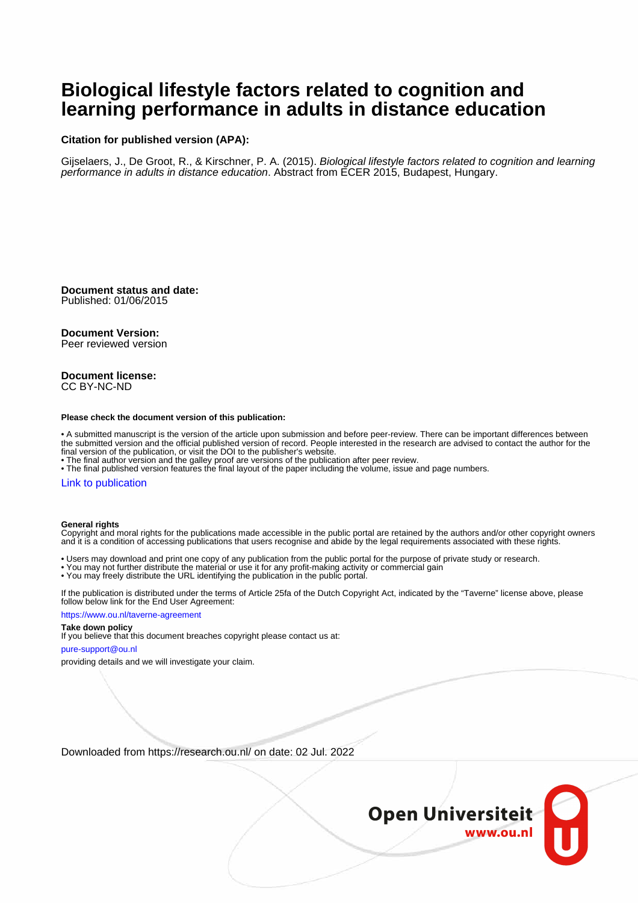# **Biological lifestyle factors related to cognition and learning performance in adults in distance education**

## **Citation for published version (APA):**

Gijselaers, J., De Groot, R., & Kirschner, P. A. (2015). Biological lifestyle factors related to cognition and learning performance in adults in distance education. Abstract from ECER 2015, Budapest, Hungary.

**Document status and date:** Published: 01/06/2015

### **Document Version:**

Peer reviewed version

#### **Document license:** CC BY-NC-ND

#### **Please check the document version of this publication:**

• A submitted manuscript is the version of the article upon submission and before peer-review. There can be important differences between the submitted version and the official published version of record. People interested in the research are advised to contact the author for the final version of the publication, or visit the DOI to the publisher's website.

• The final author version and the galley proof are versions of the publication after peer review.

• The final published version features the final layout of the paper including the volume, issue and page numbers.

### [Link to publication](https://research.ou.nl/en/publications/e10f3ba6-c7cc-4541-9d7c-a3ca2db0bf81)

#### **General rights**

Copyright and moral rights for the publications made accessible in the public portal are retained by the authors and/or other copyright owners and it is a condition of accessing publications that users recognise and abide by the legal requirements associated with these rights.

- Users may download and print one copy of any publication from the public portal for the purpose of private study or research.
- You may not further distribute the material or use it for any profit-making activity or commercial gain
- You may freely distribute the URL identifying the publication in the public portal.

If the publication is distributed under the terms of Article 25fa of the Dutch Copyright Act, indicated by the "Taverne" license above, please follow below link for the End User Agreement:

#### https://www.ou.nl/taverne-agreement

## **Take down policy**

If you believe that this document breaches copyright please contact us at:

#### pure-support@ou.nl

providing details and we will investigate your claim.

Downloaded from https://research.ou.nl/ on date: 02 Jul. 2022

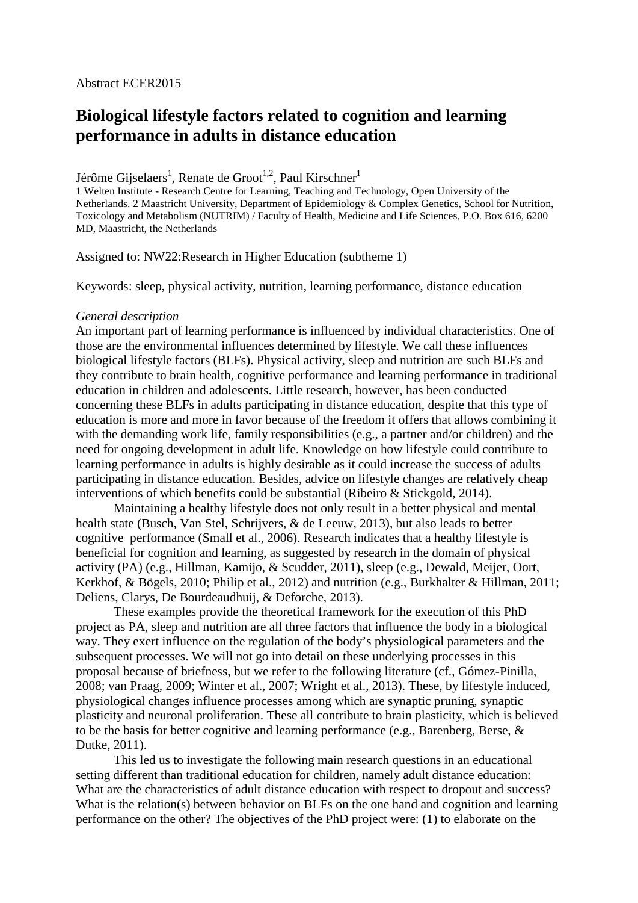# Abstract ECER2015

# **Biological lifestyle factors related to cognition and learning performance in adults in distance education**

Jérôme Gijselaers<sup>1</sup>, Renate de Groot<sup>1,2</sup>, Paul Kirschner<sup>1</sup>

1 Welten Institute - Research Centre for Learning, Teaching and Technology, Open University of the Netherlands. 2 Maastricht University, Department of Epidemiology & Complex Genetics, School for Nutrition, Toxicology and Metabolism (NUTRIM) / Faculty of Health, Medicine and Life Sciences, P.O. Box 616, 6200 MD, Maastricht, the Netherlands

Assigned to: NW22:Research in Higher Education (subtheme 1)

Keywords: sleep, physical activity, nutrition, learning performance, distance education

## *General description*

An important part of learning performance is influenced by individual characteristics. One of those are the environmental influences determined by lifestyle. We call these influences biological lifestyle factors (BLFs). Physical activity, sleep and nutrition are such BLFs and they contribute to brain health, cognitive performance and learning performance in traditional education in children and adolescents. Little research, however, has been conducted concerning these BLFs in adults participating in distance education, despite that this type of education is more and more in favor because of the freedom it offers that allows combining it with the demanding work life, family responsibilities (e.g., a partner and/or children) and the need for ongoing development in adult life. Knowledge on how lifestyle could contribute to learning performance in adults is highly desirable as it could increase the success of adults participating in distance education. Besides, advice on lifestyle changes are relatively cheap interventions of which benefits could be substantial (Ribeiro & Stickgold, 2014).

Maintaining a healthy lifestyle does not only result in a better physical and mental health state (Busch, Van Stel, Schrijvers, & de Leeuw, 2013), but also leads to better cognitive performance (Small et al., 2006). Research indicates that a healthy lifestyle is beneficial for cognition and learning, as suggested by research in the domain of physical activity (PA) (e.g., Hillman, Kamijo, & Scudder, 2011), sleep (e.g., Dewald, Meijer, Oort, Kerkhof, & Bögels, 2010; Philip et al., 2012) and nutrition (e.g., Burkhalter & Hillman, 2011; Deliens, Clarys, De Bourdeaudhuij, & Deforche, 2013).

These examples provide the theoretical framework for the execution of this PhD project as PA, sleep and nutrition are all three factors that influence the body in a biological way. They exert influence on the regulation of the body's physiological parameters and the subsequent processes. We will not go into detail on these underlying processes in this proposal because of briefness, but we refer to the following literature (cf., Gómez-Pinilla, 2008; van Praag, 2009; Winter et al., 2007; Wright et al., 2013). These, by lifestyle induced, physiological changes influence processes among which are synaptic pruning, synaptic plasticity and neuronal proliferation. These all contribute to brain plasticity, which is believed to be the basis for better cognitive and learning performance (e.g., Barenberg, Berse, & Dutke, 2011).

This led us to investigate the following main research questions in an educational setting different than traditional education for children, namely adult distance education: What are the characteristics of adult distance education with respect to dropout and success? What is the relation(s) between behavior on BLFs on the one hand and cognition and learning performance on the other? The objectives of the PhD project were: (1) to elaborate on the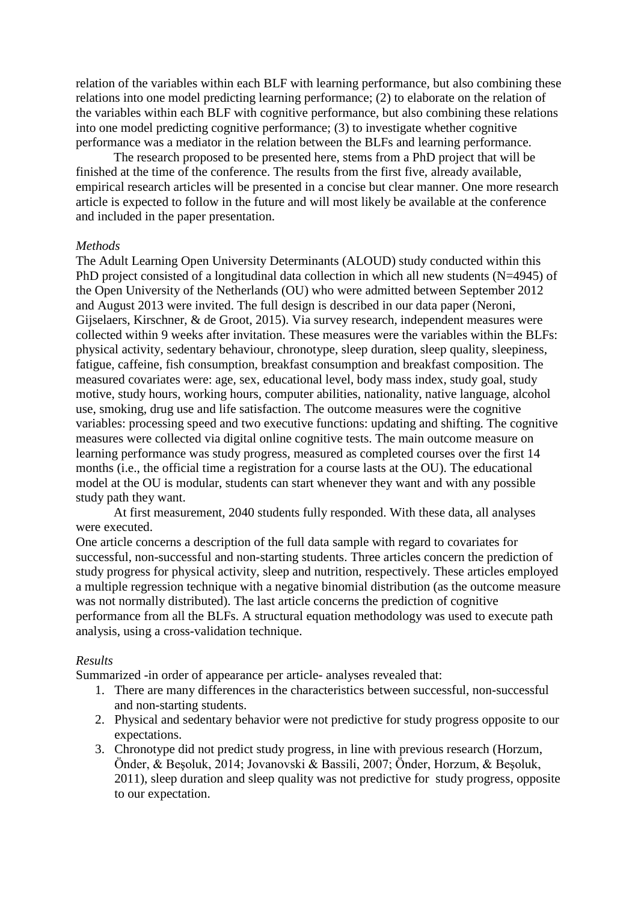relation of the variables within each BLF with learning performance, but also combining these relations into one model predicting learning performance; (2) to elaborate on the relation of the variables within each BLF with cognitive performance, but also combining these relations into one model predicting cognitive performance; (3) to investigate whether cognitive performance was a mediator in the relation between the BLFs and learning performance.

The research proposed to be presented here, stems from a PhD project that will be finished at the time of the conference. The results from the first five, already available, empirical research articles will be presented in a concise but clear manner. One more research article is expected to follow in the future and will most likely be available at the conference and included in the paper presentation.

# *Methods*

The Adult Learning Open University Determinants (ALOUD) study conducted within this PhD project consisted of a longitudinal data collection in which all new students (N=4945) of the Open University of the Netherlands (OU) who were admitted between September 2012 and August 2013 were invited. The full design is described in our data paper (Neroni, Gijselaers, Kirschner, & de Groot, 2015). Via survey research, independent measures were collected within 9 weeks after invitation. These measures were the variables within the BLFs: physical activity, sedentary behaviour, chronotype, sleep duration, sleep quality, sleepiness, fatigue, caffeine, fish consumption, breakfast consumption and breakfast composition. The measured covariates were: age, sex, educational level, body mass index, study goal, study motive, study hours, working hours, computer abilities, nationality, native language, alcohol use, smoking, drug use and life satisfaction. The outcome measures were the cognitive variables: processing speed and two executive functions: updating and shifting. The cognitive measures were collected via digital online cognitive tests. The main outcome measure on learning performance was study progress, measured as completed courses over the first 14 months (i.e., the official time a registration for a course lasts at the OU). The educational model at the OU is modular, students can start whenever they want and with any possible study path they want.

At first measurement, 2040 students fully responded. With these data, all analyses were executed.

One article concerns a description of the full data sample with regard to covariates for successful, non-successful and non-starting students. Three articles concern the prediction of study progress for physical activity, sleep and nutrition, respectively. These articles employed a multiple regression technique with a negative binomial distribution (as the outcome measure was not normally distributed). The last article concerns the prediction of cognitive performance from all the BLFs. A structural equation methodology was used to execute path analysis, using a cross-validation technique.

## *Results*

Summarized -in order of appearance per article- analyses revealed that:

- 1. There are many differences in the characteristics between successful, non-successful and non-starting students.
- 2. Physical and sedentary behavior were not predictive for study progress opposite to our expectations.
- 3. Chronotype did not predict study progress, in line with previous research (Horzum, Önder, & Beşoluk, 2014; Jovanovski & Bassili, 2007; Önder, Horzum, & Beşoluk, 2011), sleep duration and sleep quality was not predictive for study progress, opposite to our expectation.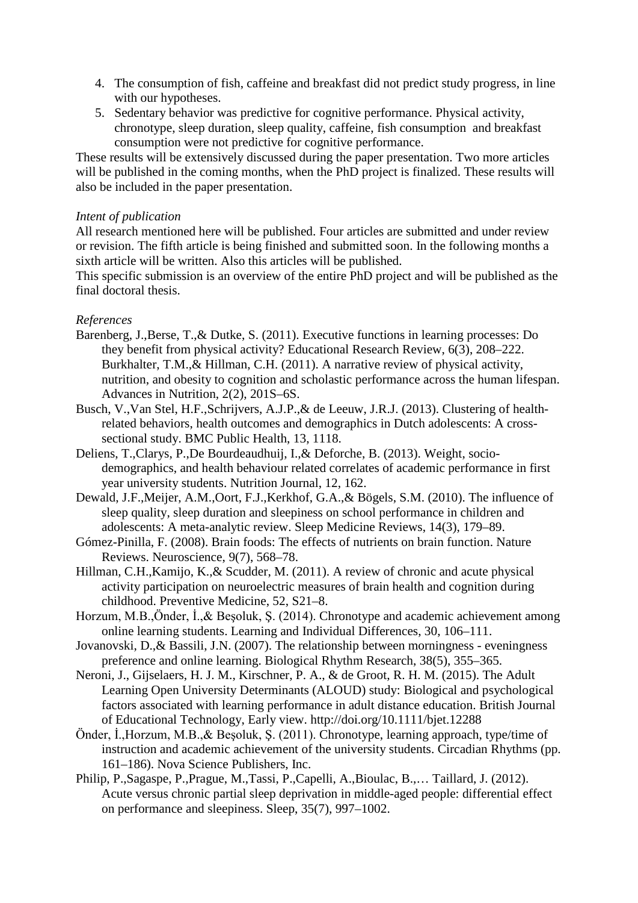- 4. The consumption of fish, caffeine and breakfast did not predict study progress, in line with our hypotheses.
- 5. Sedentary behavior was predictive for cognitive performance. Physical activity, chronotype, sleep duration, sleep quality, caffeine, fish consumption and breakfast consumption were not predictive for cognitive performance.

These results will be extensively discussed during the paper presentation. Two more articles will be published in the coming months, when the PhD project is finalized. These results will also be included in the paper presentation.

# *Intent of publication*

All research mentioned here will be published. Four articles are submitted and under review or revision. The fifth article is being finished and submitted soon. In the following months a sixth article will be written. Also this articles will be published.

This specific submission is an overview of the entire PhD project and will be published as the final doctoral thesis.

# *References*

- Barenberg, J.,Berse, T.,& Dutke, S. (2011). Executive functions in learning processes: Do they benefit from physical activity? Educational Research Review, 6(3), 208–222. Burkhalter, T.M.,& Hillman, C.H. (2011). A narrative review of physical activity, nutrition, and obesity to cognition and scholastic performance across the human lifespan. Advances in Nutrition, 2(2), 201S–6S.
- Busch, V.,Van Stel, H.F.,Schrijvers, A.J.P.,& de Leeuw, J.R.J. (2013). Clustering of healthrelated behaviors, health outcomes and demographics in Dutch adolescents: A crosssectional study. BMC Public Health, 13, 1118.
- Deliens, T.,Clarys, P.,De Bourdeaudhuij, I.,& Deforche, B. (2013). Weight, sociodemographics, and health behaviour related correlates of academic performance in first year university students. Nutrition Journal, 12, 162.
- Dewald, J.F.,Meijer, A.M.,Oort, F.J.,Kerkhof, G.A.,& Bögels, S.M. (2010). The influence of sleep quality, sleep duration and sleepiness on school performance in children and adolescents: A meta-analytic review. Sleep Medicine Reviews, 14(3), 179–89.
- Gómez-Pinilla, F. (2008). Brain foods: The effects of nutrients on brain function. Nature Reviews. Neuroscience, 9(7), 568–78.
- Hillman, C.H.,Kamijo, K.,& Scudder, M. (2011). A review of chronic and acute physical activity participation on neuroelectric measures of brain health and cognition during childhood. Preventive Medicine, 52, S21–8.
- Horzum, M.B.,Önder, İ.,& Beşoluk, Ş. (2014). Chronotype and academic achievement among online learning students. Learning and Individual Differences, 30, 106–111.
- Jovanovski, D.,& Bassili, J.N. (2007). The relationship between morningness eveningness preference and online learning. Biological Rhythm Research, 38(5), 355–365.
- Neroni, J., Gijselaers, H. J. M., Kirschner, P. A., & de Groot, R. H. M. (2015). The Adult Learning Open University Determinants (ALOUD) study: Biological and psychological factors associated with learning performance in adult distance education. British Journal of Educational Technology, Early view. http://doi.org/10.1111/bjet.12288
- Önder, İ.,Horzum, M.B.,& Beşoluk, Ş. (2011). Chronotype, learning approach, type/time of instruction and academic achievement of the university students. Circadian Rhythms (pp. 161–186). Nova Science Publishers, Inc.
- Philip, P.,Sagaspe, P.,Prague, M.,Tassi, P.,Capelli, A.,Bioulac, B.,… Taillard, J. (2012). Acute versus chronic partial sleep deprivation in middle-aged people: differential effect on performance and sleepiness. Sleep, 35(7), 997–1002.